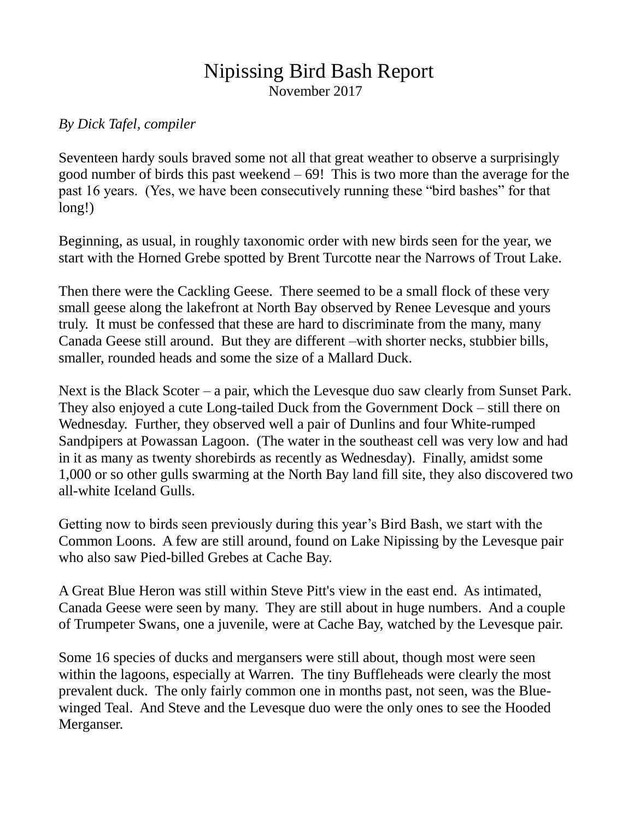## Nipissing Bird Bash Report

November 2017

## *By Dick Tafel, compiler*

Seventeen hardy souls braved some not all that great weather to observe a surprisingly good number of birds this past weekend  $-69!$  This is two more than the average for the past 16 years. (Yes, we have been consecutively running these "bird bashes" for that long!)

Beginning, as usual, in roughly taxonomic order with new birds seen for the year, we start with the Horned Grebe spotted by Brent Turcotte near the Narrows of Trout Lake.

Then there were the Cackling Geese. There seemed to be a small flock of these very small geese along the lakefront at North Bay observed by Renee Levesque and yours truly. It must be confessed that these are hard to discriminate from the many, many Canada Geese still around. But they are different –with shorter necks, stubbier bills, smaller, rounded heads and some the size of a Mallard Duck.

Next is the Black Scoter – a pair, which the Levesque duo saw clearly from Sunset Park. They also enjoyed a cute Long-tailed Duck from the Government Dock – still there on Wednesday. Further, they observed well a pair of Dunlins and four White-rumped Sandpipers at Powassan Lagoon. (The water in the southeast cell was very low and had in it as many as twenty shorebirds as recently as Wednesday). Finally, amidst some 1,000 or so other gulls swarming at the North Bay land fill site, they also discovered two all-white Iceland Gulls.

Getting now to birds seen previously during this year's Bird Bash, we start with the Common Loons. A few are still around, found on Lake Nipissing by the Levesque pair who also saw Pied-billed Grebes at Cache Bay.

A Great Blue Heron was still within Steve Pitt's view in the east end. As intimated, Canada Geese were seen by many. They are still about in huge numbers. And a couple of Trumpeter Swans, one a juvenile, were at Cache Bay, watched by the Levesque pair.

Some 16 species of ducks and mergansers were still about, though most were seen within the lagoons, especially at Warren. The tiny Buffleheads were clearly the most prevalent duck. The only fairly common one in months past, not seen, was the Bluewinged Teal. And Steve and the Levesque duo were the only ones to see the Hooded Merganser.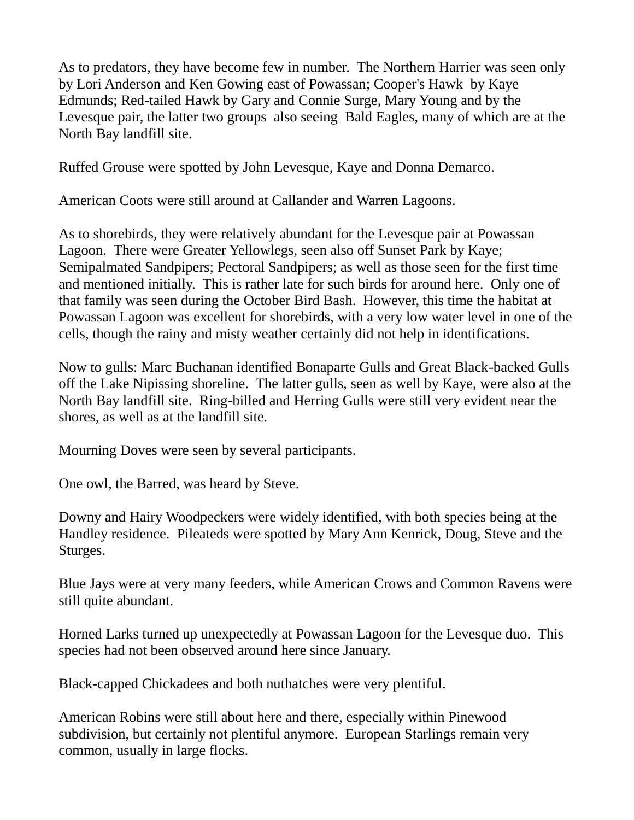As to predators, they have become few in number. The Northern Harrier was seen only by Lori Anderson and Ken Gowing east of Powassan; Cooper's Hawk by Kaye Edmunds; Red-tailed Hawk by Gary and Connie Surge, Mary Young and by the Levesque pair, the latter two groups also seeing Bald Eagles, many of which are at the North Bay landfill site.

Ruffed Grouse were spotted by John Levesque, Kaye and Donna Demarco.

American Coots were still around at Callander and Warren Lagoons.

As to shorebirds, they were relatively abundant for the Levesque pair at Powassan Lagoon. There were Greater Yellowlegs, seen also off Sunset Park by Kaye; Semipalmated Sandpipers; Pectoral Sandpipers; as well as those seen for the first time and mentioned initially. This is rather late for such birds for around here. Only one of that family was seen during the October Bird Bash. However, this time the habitat at Powassan Lagoon was excellent for shorebirds, with a very low water level in one of the cells, though the rainy and misty weather certainly did not help in identifications.

Now to gulls: Marc Buchanan identified Bonaparte Gulls and Great Black-backed Gulls off the Lake Nipissing shoreline. The latter gulls, seen as well by Kaye, were also at the North Bay landfill site. Ring-billed and Herring Gulls were still very evident near the shores, as well as at the landfill site.

Mourning Doves were seen by several participants.

One owl, the Barred, was heard by Steve.

Downy and Hairy Woodpeckers were widely identified, with both species being at the Handley residence. Pileateds were spotted by Mary Ann Kenrick, Doug, Steve and the Sturges.

Blue Jays were at very many feeders, while American Crows and Common Ravens were still quite abundant.

Horned Larks turned up unexpectedly at Powassan Lagoon for the Levesque duo. This species had not been observed around here since January.

Black-capped Chickadees and both nuthatches were very plentiful.

American Robins were still about here and there, especially within Pinewood subdivision, but certainly not plentiful anymore. European Starlings remain very common, usually in large flocks.